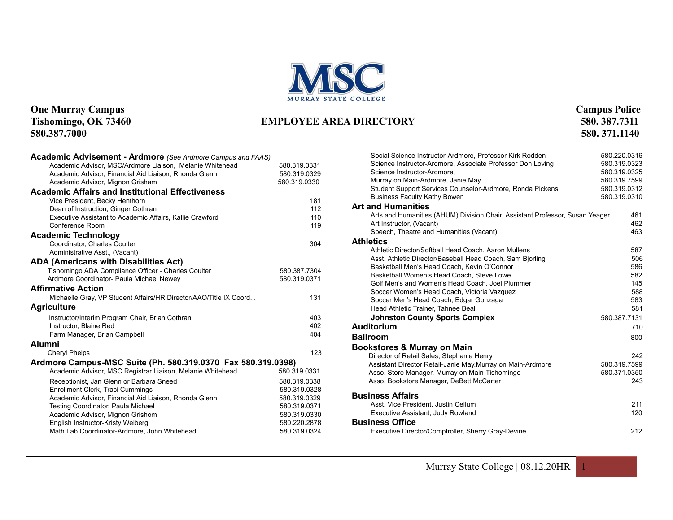

#### **One Murray Campus Campus Police**<br> **Campus Police Campus Police**<br> **Campus Police Campus Police Campus Police Campus Police Campus Police Campus Police Campus Police Campus Police Campus Police Campus Po Tishomingo, OK 73460 EMPLOYEE AREA DIRECTORY** 580.387.7311 **580.387.7311 580.387.7311**

| Social Science Instructor-Ardmore, Professor Kirk Rodden                     | 580.220.0316 |
|------------------------------------------------------------------------------|--------------|
| Science Instructor-Ardmore, Associate Professor Don Loving                   | 580.319.0323 |
| Science Instructor-Ardmore,                                                  | 580.319.0325 |
| Murray on Main-Ardmore, Janie May                                            | 580.319.7599 |
| Student Support Services Counselor-Ardmore, Ronda Pickens                    | 580.319.0312 |
| <b>Business Faculty Kathy Bowen</b>                                          | 580.319.0310 |
| <b>Art and Humanities</b>                                                    |              |
| Arts and Humanities (AHUM) Division Chair, Assistant Professor, Susan Yeager | 461          |
| Art Instructor, (Vacant)                                                     | 462          |
| Speech, Theatre and Humanities (Vacant)                                      | 463          |
| <b>Athletics</b>                                                             |              |
| Athletic Director/Softball Head Coach, Aaron Mullens                         | 587          |
| Asst. Athletic Director/Baseball Head Coach, Sam Bjorling                    | 506          |
| Basketball Men's Head Coach, Kevin O'Connor                                  | 586          |
| Basketball Women's Head Coach, Steve Lowe                                    | 582          |
| Golf Men's and Women's Head Coach, Joel Plummer                              | 145          |
| Soccer Women's Head Coach, Victoria Vazquez                                  | 588          |
| Soccer Men's Head Coach, Edgar Gonzaga                                       | 583<br>581   |
| Head Athletic Trainer, Tahnee Beal                                           |              |
| <b>Johnston County Sports Complex</b>                                        | 580.387.7131 |
| <b>Auditorium</b>                                                            | 710          |
| <b>Ballroom</b>                                                              | 800          |
| Bookstores & Murray on Main                                                  |              |
| Director of Retail Sales, Stephanie Henry                                    | 242          |
| Assistant Director Retail-Janie May.Murray on Main-Ardmore                   | 580.319.7599 |
| Asso. Store Manager.-Murray on Main-Tishomingo                               | 580.371.0350 |
| Asso. Bookstore Manager, DeBett McCarter                                     | 243          |
| <b>Business Affairs</b>                                                      |              |
| Asst. Vice President, Justin Cellum                                          | 211          |
| Executive Assistant, Judy Rowland                                            | 120          |
| <b>Business Office</b>                                                       |              |
| Executive Director/Comptroller, Sherry Gray-Devine                           | 212          |

#### Murray State College | 08.12.20HR 1

# **580.387.7000 580. 371.1140**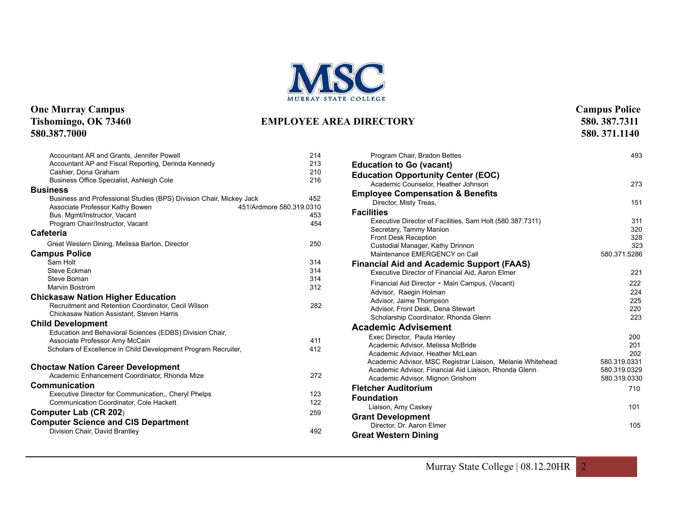

#### **One Murray Campus Campus Police**<br> **Campus Police Campus Police**<br> **Campus Police Campus Police Campus Police Campus Police Campus Police Campus Police Campus Police Campus Police Campus Police Campus Po** Tishomingo, OK 73460 **EMPLOYEE AREA DIRECTORY** 580.387.7000

**580.387.7000 580. 371.1140** 

| 214<br>213<br>210<br>216                      |
|-----------------------------------------------|
| 452<br>451/Ardmore 580.319.0310<br>453<br>454 |
|                                               |
| 250                                           |
| 314<br>314<br>314<br>312<br>282<br>411<br>412 |
| 272<br>123<br>122<br>259<br>492               |
|                                               |

| Program Chair, Bradon Bettes                                             | 493          |
|--------------------------------------------------------------------------|--------------|
| <b>Education to Go (vacant)</b>                                          |              |
| <b>Education Opportunity Center (EOC)</b>                                |              |
| Academic Counselor, Heather Johnson                                      | 273          |
| <b>Employee Compensation &amp; Benefits</b>                              |              |
| Director, Misty Treas,                                                   | 151          |
| <b>Facilities</b>                                                        |              |
| Executive Director of Facilities, Sam Holt (580.387.7311)                | 311          |
| Secretary, Tammy Manion                                                  | 320          |
| Front Desk Reception<br>Custodial Manager, Kathy Drinnon                 | 328<br>323   |
| Maintenance EMERGENCY on Call                                            | 580.371.5286 |
| <b>Financial Aid and Academic Support (FAAS)</b>                         |              |
| Executive Director of Financial Aid, Aaron Elmer                         | 221          |
|                                                                          | 222          |
| Financial Aid Director - Main Campus, (Vacant)<br>Advisor, Raegin Holman | 224          |
| Advisor, Jaime Thompson                                                  | 225          |
| Advisor, Front Desk, Dena Stewart                                        | 220          |
| Scholarship Coordinator, Rhonda Glenn                                    | 223          |
| <b>Academic Advisement</b>                                               |              |
| Exec Director, Paula Henley                                              | 200          |
| Academic Advisor, Melissa McBride                                        | 201          |
| Academic Advisor, Heather McLean                                         | 202          |
| Academic Advisor, MSC Registrar Liaison, Melanie Whitehead               | 580.319.0331 |
| Academic Advisor, Financial Aid Liaison, Rhonda Glenn                    | 580.319.0329 |
| Academic Advisor, Mignon Grishom                                         | 580.319.0330 |
| <b>Fletcher Auditorium</b>                                               | 710          |
| <b>Foundation</b>                                                        |              |
| Liaison, Amy Caskey                                                      | 101          |
| <b>Grant Development</b>                                                 |              |
| Director, Dr. Aaron Elmer                                                | 105          |
| <b>Great Western Dining</b>                                              |              |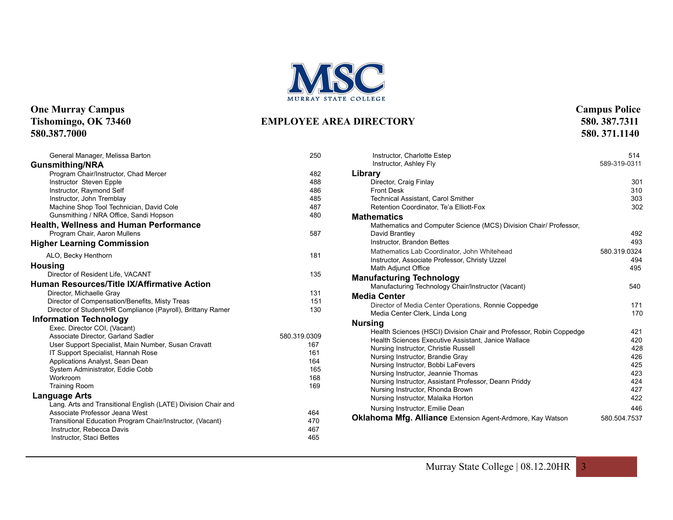

#### **One Murray Campus Campus Police**<br> **Campus Police Campus Police**<br> **Campus Police Campus Police Campus Police Campus Police Campus Police Campus Police Campus Police Campus Police Campus Police Campus Po** Tishomingo, OK 73460 **EMPLOYEE AREA DIRECTORY** 580.387.7000 **580.387.7000 580. 371.1140**

| General Manager, Melissa Barton                               | 250          |
|---------------------------------------------------------------|--------------|
| <b>Gunsmithing/NRA</b>                                        |              |
| Program Chair/Instructor, Chad Mercer                         | 482          |
| Instructor Steven Epple                                       | 488          |
| Instructor, Raymond Self                                      | 486          |
| Instructor, John Tremblay                                     | 485          |
| Machine Shop Tool Technician, David Cole                      | 487          |
| Gunsmithing / NRA Office, Sandi Hopson                        | 480          |
| <b>Health, Wellness and Human Performance</b>                 |              |
| Program Chair, Aaron Mullens                                  | 587          |
| <b>Higher Learning Commission</b>                             |              |
| ALO, Becky Henthorn                                           | 181          |
| <b>Housing</b>                                                |              |
| Director of Resident Life, VACANT                             | 135          |
| <b>Human Resources/Title IX/Affirmative Action</b>            |              |
| Director, Michaelle Gray                                      | 131          |
| Director of Compensation/Benefits, Misty Treas                | 151          |
| Director of Student/HR Compliance (Payroll), Brittany Ramer   | 130          |
| <b>Information Technology</b>                                 |              |
| Exec. Director COI, (Vacant)                                  |              |
| Associate Director, Garland Sadler                            | 580.319.0309 |
| User Support Specialist, Main Number, Susan Cravatt           | 167          |
| IT Support Specialist, Hannah Rose                            | 161          |
| Applications Analyst, Sean Dean                               | 164          |
| System Administrator, Eddie Cobb                              | 165          |
| Workroom                                                      | 168          |
| <b>Training Room</b>                                          | 169          |
| Language Arts                                                 |              |
| Lang. Arts and Transitional English (LATE) Division Chair and |              |
| Associate Professor Jeana West                                | 464          |
| Transitional Education Program Chair/Instructor, (Vacant)     | 470          |
| Instructor, Rebecca Davis                                     | 467          |
| Instructor, Staci Bettes                                      | 465          |

| Instructor, Charlotte Estep<br>Instructor, Ashley Fly               | 514<br>589-319-0311 |
|---------------------------------------------------------------------|---------------------|
| Library                                                             |                     |
| Director, Craig Finlay                                              | 301                 |
| <b>Front Desk</b>                                                   | 310                 |
| <b>Technical Assistant, Carol Smither</b>                           | 303                 |
| Retention Coordinator, Te'a Elliott-Fox                             | 302                 |
| <b>Mathematics</b>                                                  |                     |
| Mathematics and Computer Science (MCS) Division Chair/ Professor,   |                     |
| David Brantley                                                      | 492                 |
| Instructor, Brandon Bettes                                          | 493                 |
| Mathematics Lab Coordinator, John Whitehead                         | 580.319.0324        |
| Instructor, Associate Professor, Christy Uzzel                      | 494                 |
| Math Adjunct Office                                                 | 495                 |
| <b>Manufacturing Technology</b>                                     |                     |
| Manufacturing Technology Chair/Instructor (Vacant)                  | 540                 |
| <b>Media Center</b>                                                 |                     |
| Director of Media Center Operations, Ronnie Coppedge                | 171                 |
| Media Center Clerk, Linda Long                                      | 170                 |
| <b>Nursing</b>                                                      |                     |
| Health Sciences (HSCI) Division Chair and Professor, Robin Coppedge | 421                 |
| Health Sciences Executive Assistant, Janice Wallace                 | 420                 |
| Nursing Instructor, Christie Russell                                | 428                 |
| Nursing Instructor, Brandie Gray                                    | 426                 |
| Nursing Instructor, Bobbi LaFevers                                  | 425                 |
| Nursing Instructor, Jeannie Thomas                                  | 423                 |
| Nursing Instructor, Assistant Professor, Deann Priddy               | 424                 |
| Nursing Instructor, Rhonda Brown                                    | 427                 |
| Nursing Instructor, Malaika Horton                                  | 422                 |
| Nursing Instructor, Emilie Dean                                     | 446                 |
| Oklahoma Mfg. Alliance Extension Agent-Ardmore, Kay Watson          | 580.504.7537        |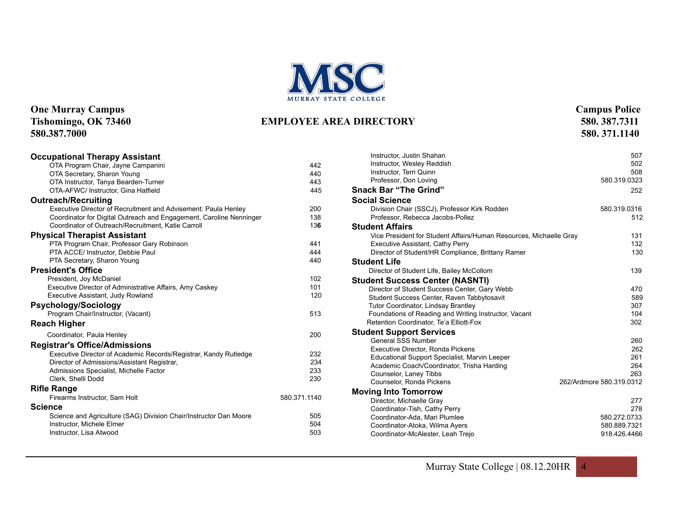

## **One Murray Campus Campus Campus Police**<br> **Campus Police Campus Police Campus Police Campus Police Campus Police Campus Police Campus Police Campus Police Campus Police Campus Police Campus Police Cam**

#### Tishomingo, OK 73460 **EMPLOYEE AREA DIRECTORY** 580.387.7000 **580.387.7000 580. 371.1140**

| <b>Occupational Therapy Assistant</b>                               |              |
|---------------------------------------------------------------------|--------------|
| OTA Program Chair, Jayne Campanini                                  | 442          |
| OTA Secretary, Sharon Young                                         | 440          |
| OTA Instructor, Tanya Bearden-Turner                                | 443          |
| OTA-AFWC/ Instructor, Gina Hatfield                                 | 445          |
| <b>Outreach/Recruiting</b>                                          |              |
| Executive Director of Recruitment and Advisement: Paula Henley      | 200          |
| Coordinator for Digital Outreach and Engagement, Caroline Nenninger | 138          |
| Coordinator of Outreach/Recruitment, Katie Carroll                  | 136          |
| <b>Physical Therapist Assistant</b>                                 |              |
| PTA Program Chair, Professor Gary Robinson                          | 441          |
| PTA ACCE/ Instructor, Debbie Paul                                   | 444          |
| PTA Secretary, Sharon Young                                         | 440          |
| <b>President's Office</b>                                           |              |
| President, Joy McDaniel                                             | 102          |
| Executive Director of Administrative Affairs, Amy Caskey            | 101          |
| Executive Assistant, Judy Rowland                                   | 120          |
| <b>Psychology/Sociology</b>                                         |              |
| Program Chair/Instructor, (Vacant)                                  | 513          |
| <b>Reach Higher</b>                                                 |              |
| Coordinator, Paula Henley                                           | 200          |
| <b>Registrar's Office/Admissions</b>                                |              |
| Executive Director of Academic Records/Registrar, Kandy Rutledge    | 232          |
| Director of Admissions/Assistant Registrar,                         | 234          |
| Admissions Specialist, Michelle Factor                              | 233          |
| Clerk, Shelli Dodd                                                  | 230          |
| <b>Rifle Range</b>                                                  |              |
| Firearms Instructor, Sam Holt                                       | 580.371.1140 |
| <b>Science</b>                                                      |              |
| Science and Agriculture (SAG) Division Chair/Instructor Dan Moore   | 505          |
| Instructor, Michele Elmer                                           | 504          |
| Instructor, Lisa Atwood                                             | 503          |
|                                                                     |              |

| Instructor, Justin Shahan<br>Instructor, Wesley Reddish<br>Instructor, Terri Quinn | 507<br>502<br>508        |
|------------------------------------------------------------------------------------|--------------------------|
| Professor, Don Loving                                                              | 580.319.0323             |
| <b>Snack Bar "The Grind"</b>                                                       | 252                      |
| <b>Social Science</b>                                                              |                          |
| Division Chair (SSCJ), Professor Kirk Rodden<br>Professor, Rebecca Jacobs-Pollez   | 580.319.0316<br>512      |
| <b>Student Affairs</b>                                                             |                          |
| Vice President for Student Affairs/Human Resources, Michaelle Gray                 | 131                      |
| <b>Executive Assistant, Cathy Perry</b>                                            | 132                      |
| Director of Student/HR Compliance, Brittany Ramer                                  | 130                      |
| <b>Student Life</b>                                                                |                          |
| Director of Student Life, Bailey McCollom                                          | 139                      |
| <b>Student Success Center (NASNTI)</b>                                             |                          |
| Director of Student Success Center, Gary Webb                                      | 470                      |
| Student Success Center, Raven Tabbytosavit                                         | 589                      |
| <b>Tutor Coordinator, Lindsay Brantley</b>                                         | 307                      |
| Foundations of Reading and Writing Instructor, Vacant                              | 104                      |
| Retention Coordinator, Te'a Elliott-Fox                                            | 302                      |
| <b>Student Support Services</b>                                                    |                          |
| <b>General SSS Number</b>                                                          | 260                      |
| Executive Director, Ronda Pickens                                                  | 262                      |
| Educational Support Specialist, Marvin Leeper                                      | 261<br>264               |
| Academic Coach/Coordinator, Trisha Harding                                         | 263                      |
| Counselor, Laney Tibbs<br>Counselor, Ronda Pickens                                 | 262/Ardmore 580.319.0312 |
|                                                                                    |                          |
| <b>Moving Into Tomorrow</b>                                                        | 277                      |
| Director, Michaelle Gray<br>Coordinator-Tish, Cathy Perry                          | 278                      |
| Coordinator-Ada, Mari Plumlee                                                      | 580.272.0733             |
| Coordinator-Atoka, Wilma Ayers                                                     | 580.889.7321             |
| Coordinator-McAlester, Leah Trejo                                                  | 918.426.4466             |